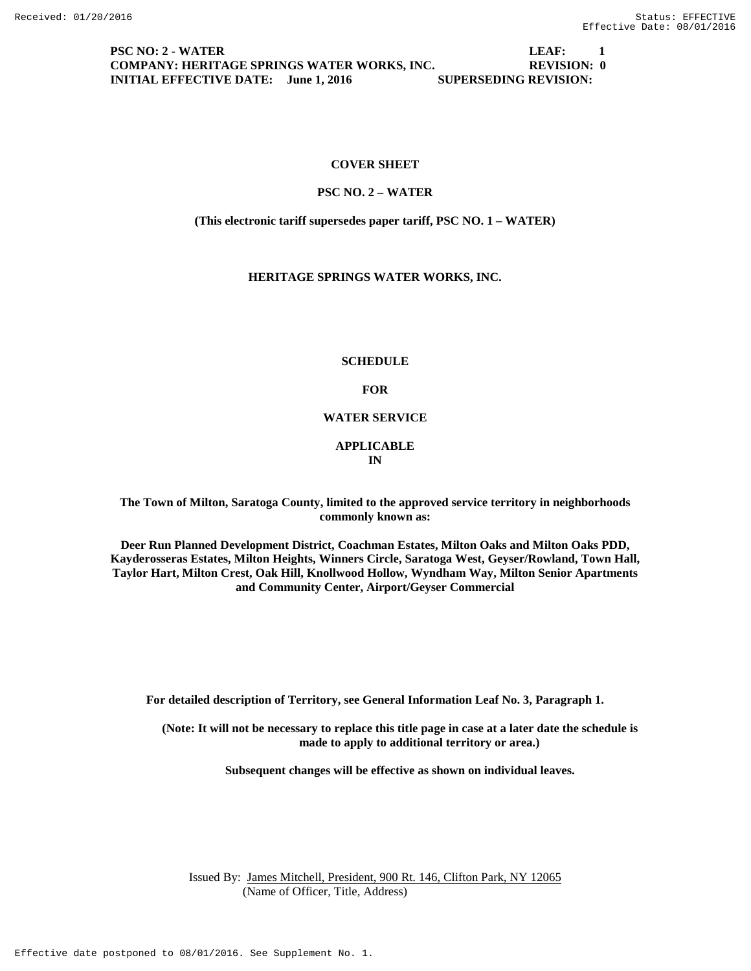**PSC NO: 2 - WATER LEAF: 1 COMPANY: HERITAGE SPRINGS WATER WORKS, INC. REVISION: 0 INITIAL EFFECTIVE DATE:** June 1, 2016 SUPERSEDING REVISION:

#### **COVER SHEET**

#### **PSC NO. 2 – WATER**

**(This electronic tariff supersedes paper tariff, PSC NO. 1 – WATER)**

#### **HERITAGE SPRINGS WATER WORKS, INC.**

**SCHEDULE**

**FOR**

#### **WATER SERVICE**

#### **APPLICABLE IN**

**The Town of Milton, Saratoga County, limited to the approved service territory in neighborhoods commonly known as:**

**Deer Run Planned Development District, Coachman Estates, Milton Oaks and Milton Oaks PDD, Kayderosseras Estates, Milton Heights, Winners Circle, Saratoga West, Geyser/Rowland, Town Hall, Taylor Hart, Milton Crest, Oak Hill, Knollwood Hollow, Wyndham Way, Milton Senior Apartments and Community Center, Airport/Geyser Commercial**

**For detailed description of Territory, see General Information Leaf No. 3, Paragraph 1.**

**(Note: It will not be necessary to replace this title page in case at a later date the schedule is made to apply to additional territory or area.)**

**Subsequent changes will be effective as shown on individual leaves.**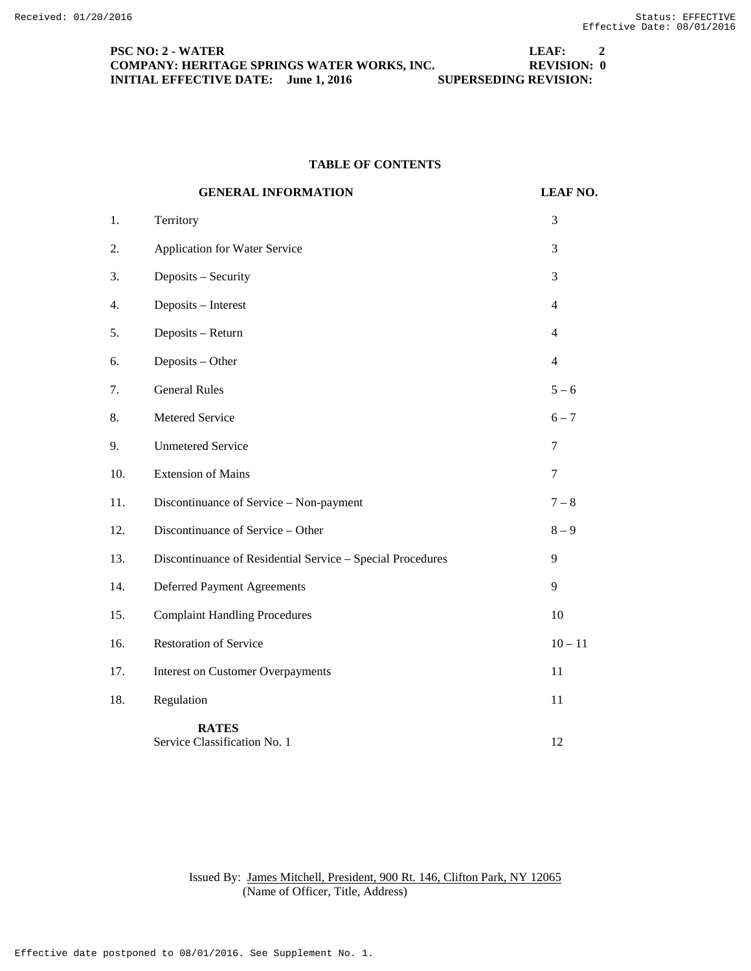## **PSC NO: 2 - WATER LEAF: 2 COMPANY: HERITAGE SPRINGS WATER WORKS, INC. REVISION: 0 INITIAL EFFECTIVE DATE:** June 1, 2016 SUPERSEDING REVISION:

# **TABLE OF CONTENTS**

|     | <b>GENERAL INFORMATION</b>                                 | <b>LEAF NO.</b> |
|-----|------------------------------------------------------------|-----------------|
| 1.  | Territory                                                  | 3               |
| 2.  | Application for Water Service                              | 3               |
| 3.  | Deposits - Security                                        | 3               |
| 4.  | Deposits - Interest                                        | $\overline{4}$  |
| 5.  | Deposits - Return                                          | $\overline{4}$  |
| 6.  | Deposits - Other                                           | $\overline{4}$  |
| 7.  | <b>General Rules</b>                                       | $5 - 6$         |
| 8.  | Metered Service                                            | $6 - 7$         |
| 9.  | <b>Unmetered Service</b>                                   | $\overline{7}$  |
| 10. | <b>Extension of Mains</b>                                  | $\tau$          |
| 11. | Discontinuance of Service - Non-payment                    | $7 - 8$         |
| 12. | Discontinuance of Service - Other                          | $8 - 9$         |
| 13. | Discontinuance of Residential Service - Special Procedures | 9               |
| 14. | Deferred Payment Agreements                                | 9               |
| 15. | <b>Complaint Handling Procedures</b>                       | 10              |
| 16. | <b>Restoration of Service</b>                              | $10 - 11$       |
| 17. | <b>Interest on Customer Overpayments</b>                   | 11              |
| 18. | Regulation                                                 | 11              |
|     | <b>RATES</b><br>Service Classification No. 1               | 12              |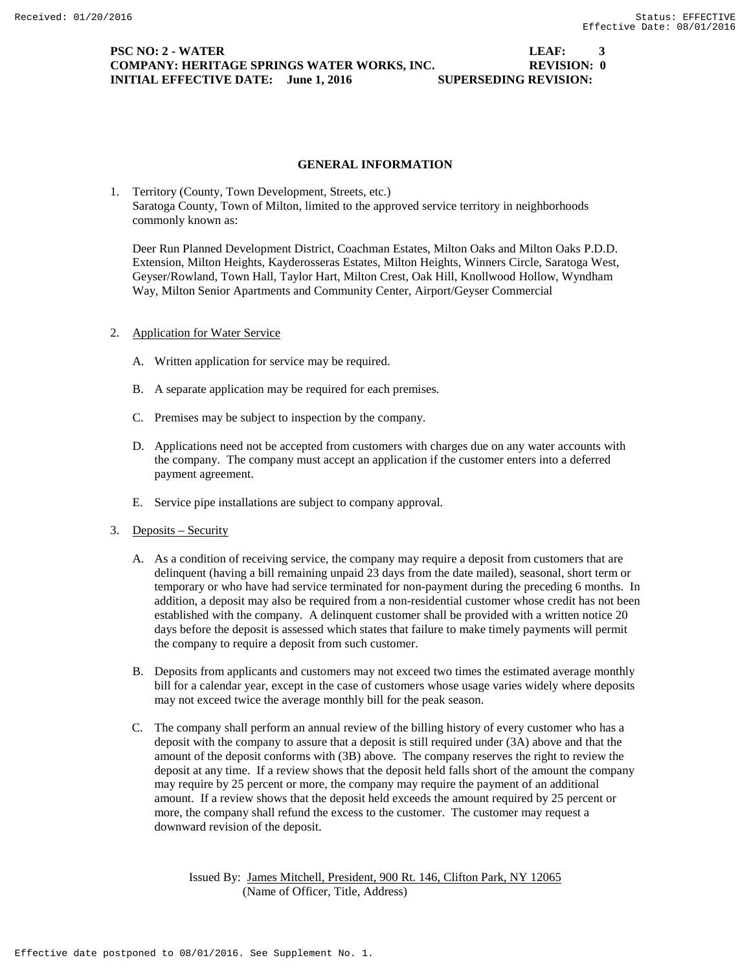# **PSC NO: 2 - WATER LEAF: 3 COMPANY: HERITAGE SPRINGS WATER WORKS, INC. REVISION: 0 INITIAL EFFECTIVE DATE:** June 1, 2016 SUPERSEDING REVISION:

### **GENERAL INFORMATION**

1. Territory (County, Town Development, Streets, etc.) Saratoga County, Town of Milton, limited to the approved service territory in neighborhoods commonly known as:

Deer Run Planned Development District, Coachman Estates, Milton Oaks and Milton Oaks P.D.D. Extension, Milton Heights, Kayderosseras Estates, Milton Heights, Winners Circle, Saratoga West, Geyser/Rowland, Town Hall, Taylor Hart, Milton Crest, Oak Hill, Knollwood Hollow, Wyndham Way, Milton Senior Apartments and Community Center, Airport/Geyser Commercial

## 2. Application for Water Service

- A. Written application for service may be required.
- B. A separate application may be required for each premises.
- C. Premises may be subject to inspection by the company.
- D. Applications need not be accepted from customers with charges due on any water accounts with the company. The company must accept an application if the customer enters into a deferred payment agreement.
- E. Service pipe installations are subject to company approval.
- 3. Deposits Security
	- A. As a condition of receiving service, the company may require a deposit from customers that are delinquent (having a bill remaining unpaid 23 days from the date mailed), seasonal, short term or temporary or who have had service terminated for non-payment during the preceding 6 months. In addition, a deposit may also be required from a non-residential customer whose credit has not been established with the company. A delinquent customer shall be provided with a written notice 20 days before the deposit is assessed which states that failure to make timely payments will permit the company to require a deposit from such customer.
	- B. Deposits from applicants and customers may not exceed two times the estimated average monthly bill for a calendar year, except in the case of customers whose usage varies widely where deposits may not exceed twice the average monthly bill for the peak season.
	- C. The company shall perform an annual review of the billing history of every customer who has a deposit with the company to assure that a deposit is still required under (3A) above and that the amount of the deposit conforms with (3B) above. The company reserves the right to review the deposit at any time. If a review shows that the deposit held falls short of the amount the company may require by 25 percent or more, the company may require the payment of an additional amount. If a review shows that the deposit held exceeds the amount required by 25 percent or more, the company shall refund the excess to the customer. The customer may request a downward revision of the deposit.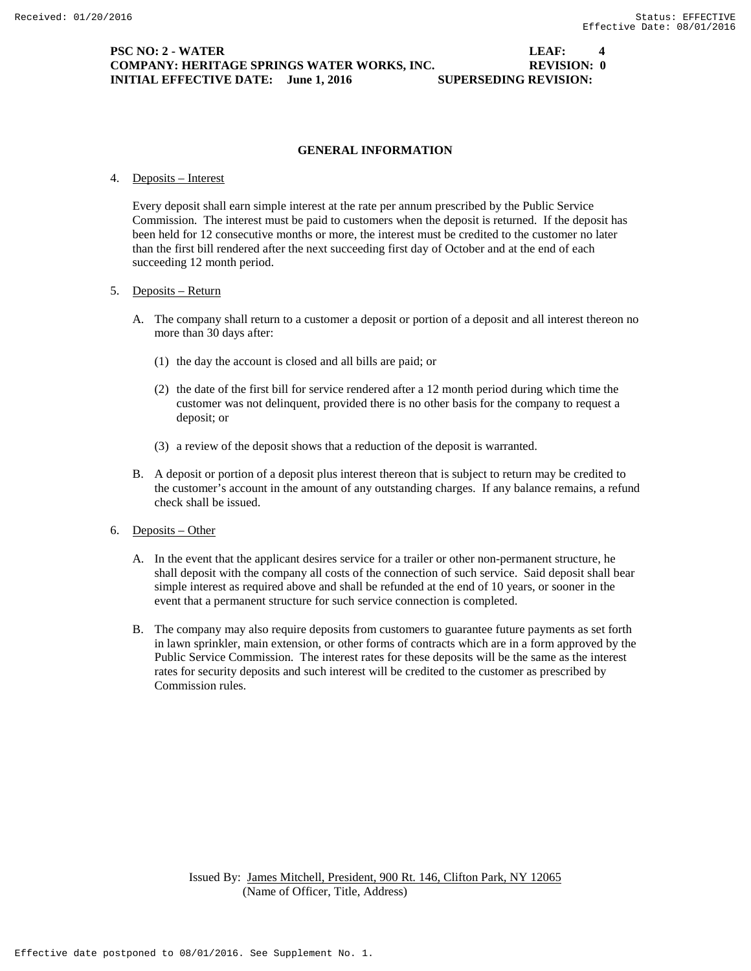# **PSC NO: 2 - WATER LEAF: 4 COMPANY: HERITAGE SPRINGS WATER WORKS, INC. REVISION: 0 INITIAL EFFECTIVE DATE:** June 1, 2016 SUPERSEDING REVISION:

# **GENERAL INFORMATION**

#### 4. Deposits – Interest

Every deposit shall earn simple interest at the rate per annum prescribed by the Public Service Commission. The interest must be paid to customers when the deposit is returned. If the deposit has been held for 12 consecutive months or more, the interest must be credited to the customer no later than the first bill rendered after the next succeeding first day of October and at the end of each succeeding 12 month period.

#### 5. Deposits – Return

- A. The company shall return to a customer a deposit or portion of a deposit and all interest thereon no more than 30 days after:
	- (1) the day the account is closed and all bills are paid; or
	- (2) the date of the first bill for service rendered after a 12 month period during which time the customer was not delinquent, provided there is no other basis for the company to request a deposit; or
	- (3) a review of the deposit shows that a reduction of the deposit is warranted.
- B. A deposit or portion of a deposit plus interest thereon that is subject to return may be credited to the customer's account in the amount of any outstanding charges. If any balance remains, a refund check shall be issued.
- 6. Deposits Other
	- A. In the event that the applicant desires service for a trailer or other non-permanent structure, he shall deposit with the company all costs of the connection of such service. Said deposit shall bear simple interest as required above and shall be refunded at the end of 10 years, or sooner in the event that a permanent structure for such service connection is completed.
	- B. The company may also require deposits from customers to guarantee future payments as set forth in lawn sprinkler, main extension, or other forms of contracts which are in a form approved by the Public Service Commission. The interest rates for these deposits will be the same as the interest rates for security deposits and such interest will be credited to the customer as prescribed by Commission rules.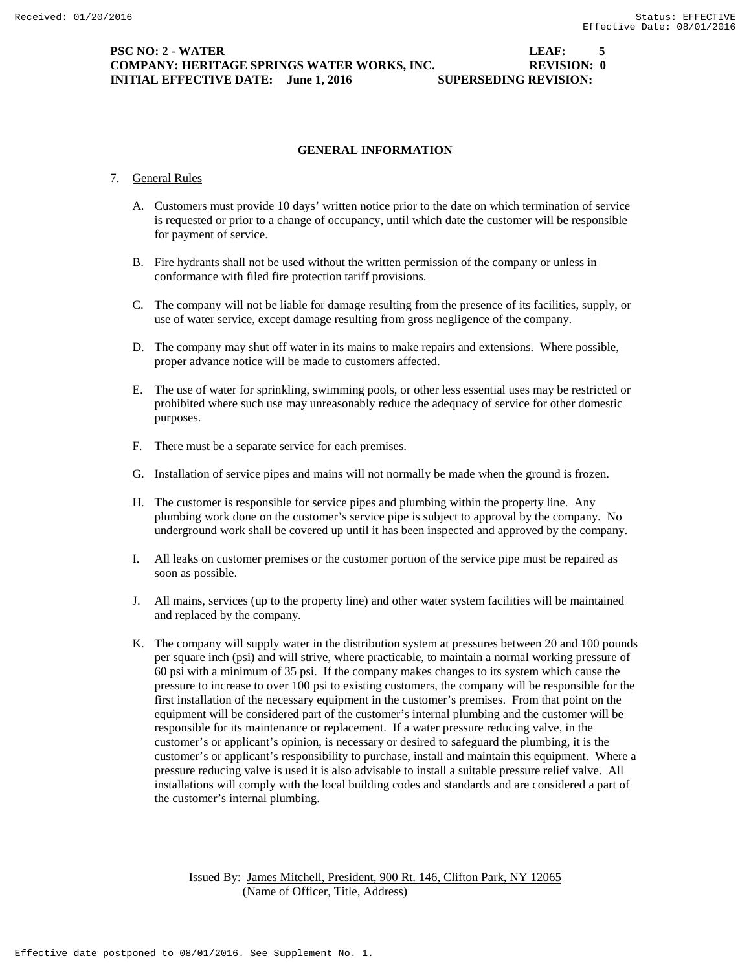## **PSC NO: 2 - WATER LEAF: 5 COMPANY: HERITAGE SPRINGS WATER WORKS, INC. REVISION: 0 INITIAL EFFECTIVE DATE:** June 1, 2016 SUPERSEDING REVISION:

# **GENERAL INFORMATION**

#### 7. General Rules

- A. Customers must provide 10 days' written notice prior to the date on which termination of service is requested or prior to a change of occupancy, until which date the customer will be responsible for payment of service.
- B. Fire hydrants shall not be used without the written permission of the company or unless in conformance with filed fire protection tariff provisions.
- C. The company will not be liable for damage resulting from the presence of its facilities, supply, or use of water service, except damage resulting from gross negligence of the company.
- D. The company may shut off water in its mains to make repairs and extensions. Where possible, proper advance notice will be made to customers affected.
- E. The use of water for sprinkling, swimming pools, or other less essential uses may be restricted or prohibited where such use may unreasonably reduce the adequacy of service for other domestic purposes.
- F. There must be a separate service for each premises.
- G. Installation of service pipes and mains will not normally be made when the ground is frozen.
- H. The customer is responsible for service pipes and plumbing within the property line. Any plumbing work done on the customer's service pipe is subject to approval by the company. No underground work shall be covered up until it has been inspected and approved by the company.
- I. All leaks on customer premises or the customer portion of the service pipe must be repaired as soon as possible.
- J. All mains, services (up to the property line) and other water system facilities will be maintained and replaced by the company.
- K. The company will supply water in the distribution system at pressures between 20 and 100 pounds per square inch (psi) and will strive, where practicable, to maintain a normal working pressure of 60 psi with a minimum of 35 psi. If the company makes changes to its system which cause the pressure to increase to over 100 psi to existing customers, the company will be responsible for the first installation of the necessary equipment in the customer's premises. From that point on the equipment will be considered part of the customer's internal plumbing and the customer will be responsible for its maintenance or replacement. If a water pressure reducing valve, in the customer's or applicant's opinion, is necessary or desired to safeguard the plumbing, it is the customer's or applicant's responsibility to purchase, install and maintain this equipment. Where a pressure reducing valve is used it is also advisable to install a suitable pressure relief valve. All installations will comply with the local building codes and standards and are considered a part of the customer's internal plumbing.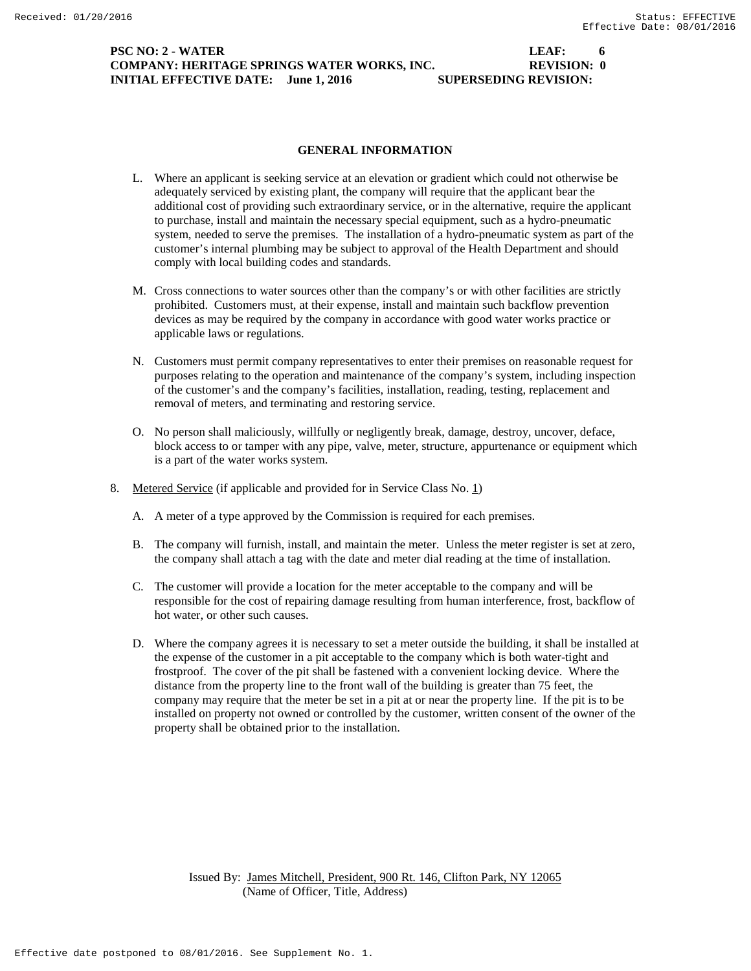# **PSC NO: 2 - WATER LEAF: 6 COMPANY: HERITAGE SPRINGS WATER WORKS, INC. REVISION: 0 INITIAL EFFECTIVE DATE:** June 1, 2016 SUPERSEDING REVISION:

#### **GENERAL INFORMATION**

- L. Where an applicant is seeking service at an elevation or gradient which could not otherwise be adequately serviced by existing plant, the company will require that the applicant bear the additional cost of providing such extraordinary service, or in the alternative, require the applicant to purchase, install and maintain the necessary special equipment, such as a hydro-pneumatic system, needed to serve the premises. The installation of a hydro-pneumatic system as part of the customer's internal plumbing may be subject to approval of the Health Department and should comply with local building codes and standards.
- M. Cross connections to water sources other than the company's or with other facilities are strictly prohibited. Customers must, at their expense, install and maintain such backflow prevention devices as may be required by the company in accordance with good water works practice or applicable laws or regulations.
- N. Customers must permit company representatives to enter their premises on reasonable request for purposes relating to the operation and maintenance of the company's system, including inspection of the customer's and the company's facilities, installation, reading, testing, replacement and removal of meters, and terminating and restoring service.
- O. No person shall maliciously, willfully or negligently break, damage, destroy, uncover, deface, block access to or tamper with any pipe, valve, meter, structure, appurtenance or equipment which is a part of the water works system.
- 8. Metered Service (if applicable and provided for in Service Class No. 1)
	- A. A meter of a type approved by the Commission is required for each premises.
	- B. The company will furnish, install, and maintain the meter. Unless the meter register is set at zero, the company shall attach a tag with the date and meter dial reading at the time of installation.
	- C. The customer will provide a location for the meter acceptable to the company and will be responsible for the cost of repairing damage resulting from human interference, frost, backflow of hot water, or other such causes.
	- D. Where the company agrees it is necessary to set a meter outside the building, it shall be installed at the expense of the customer in a pit acceptable to the company which is both water-tight and frostproof. The cover of the pit shall be fastened with a convenient locking device. Where the distance from the property line to the front wall of the building is greater than 75 feet, the company may require that the meter be set in a pit at or near the property line. If the pit is to be installed on property not owned or controlled by the customer, written consent of the owner of the property shall be obtained prior to the installation.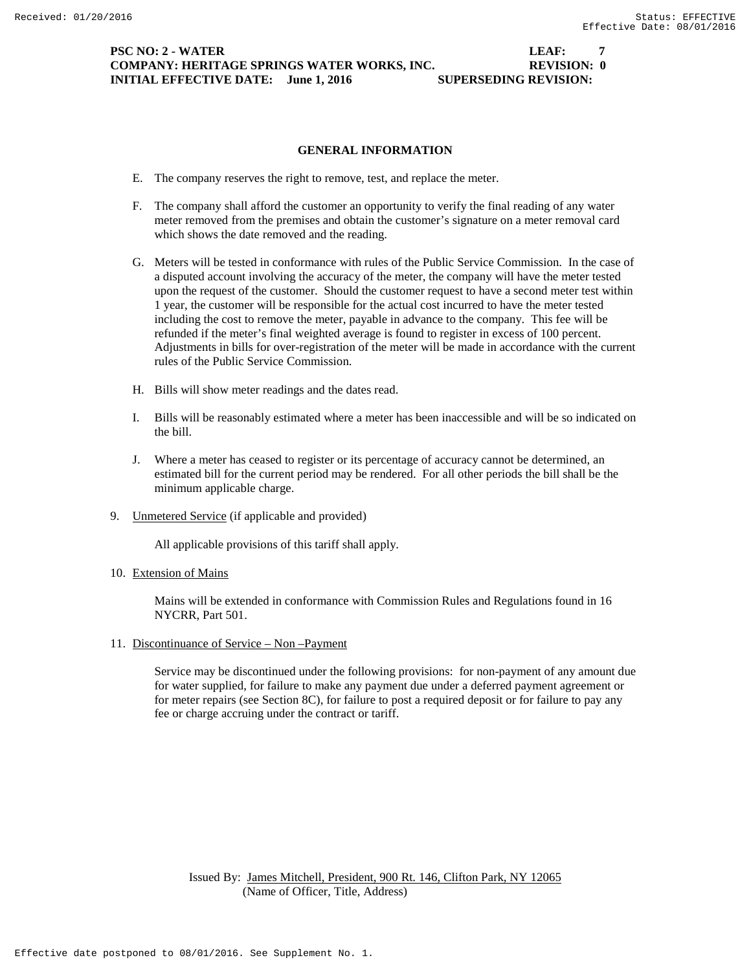## **PSC NO: 2 - WATER LEAF: 7 COMPANY: HERITAGE SPRINGS WATER WORKS, INC. REVISION: 0 INITIAL EFFECTIVE DATE:** June 1, 2016 SUPERSEDING REVISION:

### **GENERAL INFORMATION**

- E. The company reserves the right to remove, test, and replace the meter.
- F. The company shall afford the customer an opportunity to verify the final reading of any water meter removed from the premises and obtain the customer's signature on a meter removal card which shows the date removed and the reading.
- G. Meters will be tested in conformance with rules of the Public Service Commission. In the case of a disputed account involving the accuracy of the meter, the company will have the meter tested upon the request of the customer. Should the customer request to have a second meter test within 1 year, the customer will be responsible for the actual cost incurred to have the meter tested including the cost to remove the meter, payable in advance to the company. This fee will be refunded if the meter's final weighted average is found to register in excess of 100 percent. Adjustments in bills for over-registration of the meter will be made in accordance with the current rules of the Public Service Commission.
- H. Bills will show meter readings and the dates read.
- I. Bills will be reasonably estimated where a meter has been inaccessible and will be so indicated on the bill.
- J. Where a meter has ceased to register or its percentage of accuracy cannot be determined, an estimated bill for the current period may be rendered. For all other periods the bill shall be the minimum applicable charge.
- 9. Unmetered Service (if applicable and provided)

All applicable provisions of this tariff shall apply.

10. Extension of Mains

Mains will be extended in conformance with Commission Rules and Regulations found in 16 NYCRR, Part 501.

11. Discontinuance of Service – Non –Payment

Service may be discontinued under the following provisions: for non-payment of any amount due for water supplied, for failure to make any payment due under a deferred payment agreement or for meter repairs (see Section 8C), for failure to post a required deposit or for failure to pay any fee or charge accruing under the contract or tariff.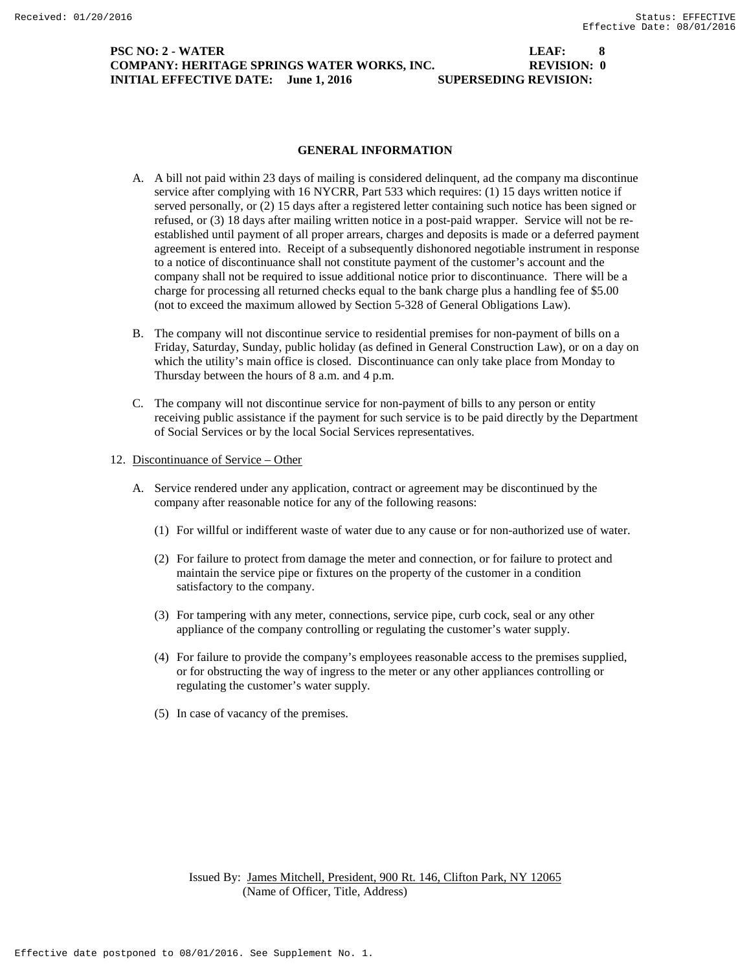## **PSC NO: 2 - WATER LEAF: 8 COMPANY: HERITAGE SPRINGS WATER WORKS, INC. REVISION: 0 INITIAL EFFECTIVE DATE:** June 1, 2016 SUPERSEDING REVISION:

### **GENERAL INFORMATION**

- A. A bill not paid within 23 days of mailing is considered delinquent, ad the company ma discontinue service after complying with 16 NYCRR, Part 533 which requires: (1) 15 days written notice if served personally, or (2) 15 days after a registered letter containing such notice has been signed or refused, or (3) 18 days after mailing written notice in a post-paid wrapper. Service will not be reestablished until payment of all proper arrears, charges and deposits is made or a deferred payment agreement is entered into. Receipt of a subsequently dishonored negotiable instrument in response to a notice of discontinuance shall not constitute payment of the customer's account and the company shall not be required to issue additional notice prior to discontinuance. There will be a charge for processing all returned checks equal to the bank charge plus a handling fee of \$5.00 (not to exceed the maximum allowed by Section 5-328 of General Obligations Law).
- B. The company will not discontinue service to residential premises for non-payment of bills on a Friday, Saturday, Sunday, public holiday (as defined in General Construction Law), or on a day on which the utility's main office is closed. Discontinuance can only take place from Monday to Thursday between the hours of 8 a.m. and 4 p.m.
- C. The company will not discontinue service for non-payment of bills to any person or entity receiving public assistance if the payment for such service is to be paid directly by the Department of Social Services or by the local Social Services representatives.
- 12. Discontinuance of Service Other
	- A. Service rendered under any application, contract or agreement may be discontinued by the company after reasonable notice for any of the following reasons:
		- (1) For willful or indifferent waste of water due to any cause or for non-authorized use of water.
		- (2) For failure to protect from damage the meter and connection, or for failure to protect and maintain the service pipe or fixtures on the property of the customer in a condition satisfactory to the company.
		- (3) For tampering with any meter, connections, service pipe, curb cock, seal or any other appliance of the company controlling or regulating the customer's water supply.
		- (4) For failure to provide the company's employees reasonable access to the premises supplied, or for obstructing the way of ingress to the meter or any other appliances controlling or regulating the customer's water supply.
		- (5) In case of vacancy of the premises.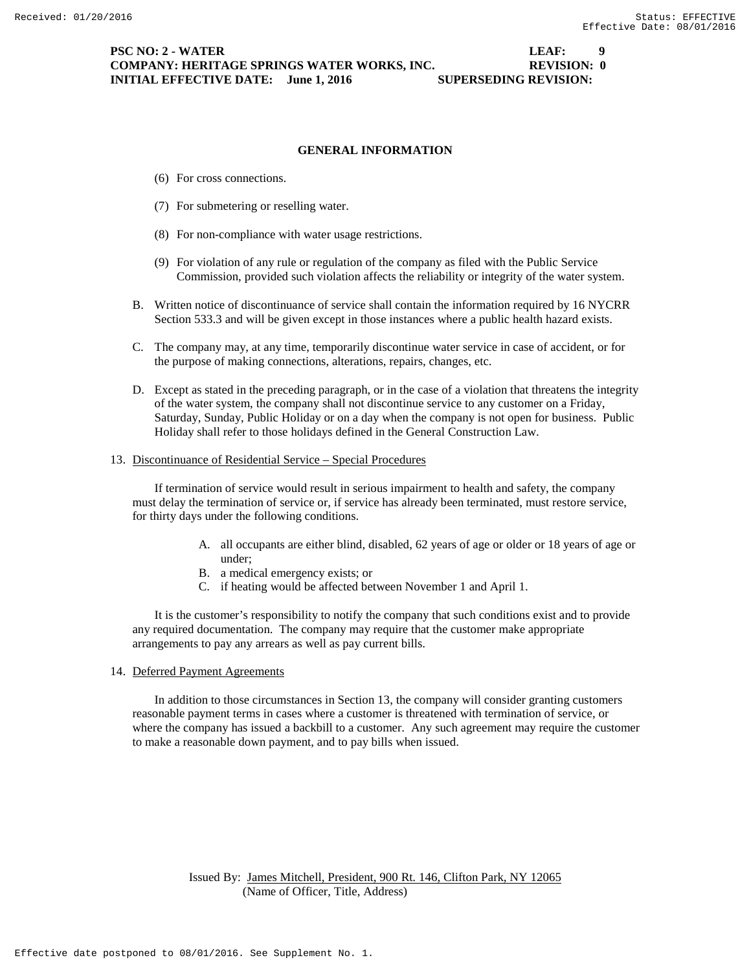# **PSC NO: 2 - WATER LEAF: 9 COMPANY: HERITAGE SPRINGS WATER WORKS, INC. REVISION: 0 INITIAL EFFECTIVE DATE:** June 1, 2016 SUPERSEDING REVISION:

# **GENERAL INFORMATION**

- (6) For cross connections.
- (7) For submetering or reselling water.
- (8) For non-compliance with water usage restrictions.
- (9) For violation of any rule or regulation of the company as filed with the Public Service Commission, provided such violation affects the reliability or integrity of the water system.
- B. Written notice of discontinuance of service shall contain the information required by 16 NYCRR Section 533.3 and will be given except in those instances where a public health hazard exists.
- C. The company may, at any time, temporarily discontinue water service in case of accident, or for the purpose of making connections, alterations, repairs, changes, etc.
- D. Except as stated in the preceding paragraph, or in the case of a violation that threatens the integrity of the water system, the company shall not discontinue service to any customer on a Friday, Saturday, Sunday, Public Holiday or on a day when the company is not open for business. Public Holiday shall refer to those holidays defined in the General Construction Law.

#### 13. Discontinuance of Residential Service – Special Procedures

If termination of service would result in serious impairment to health and safety, the company must delay the termination of service or, if service has already been terminated, must restore service, for thirty days under the following conditions.

- A. all occupants are either blind, disabled, 62 years of age or older or 18 years of age or under;
- B. a medical emergency exists; or
- C. if heating would be affected between November 1 and April 1.

It is the customer's responsibility to notify the company that such conditions exist and to provide any required documentation. The company may require that the customer make appropriate arrangements to pay any arrears as well as pay current bills.

14. Deferred Payment Agreements

In addition to those circumstances in Section 13, the company will consider granting customers reasonable payment terms in cases where a customer is threatened with termination of service, or where the company has issued a backbill to a customer. Any such agreement may require the customer to make a reasonable down payment, and to pay bills when issued.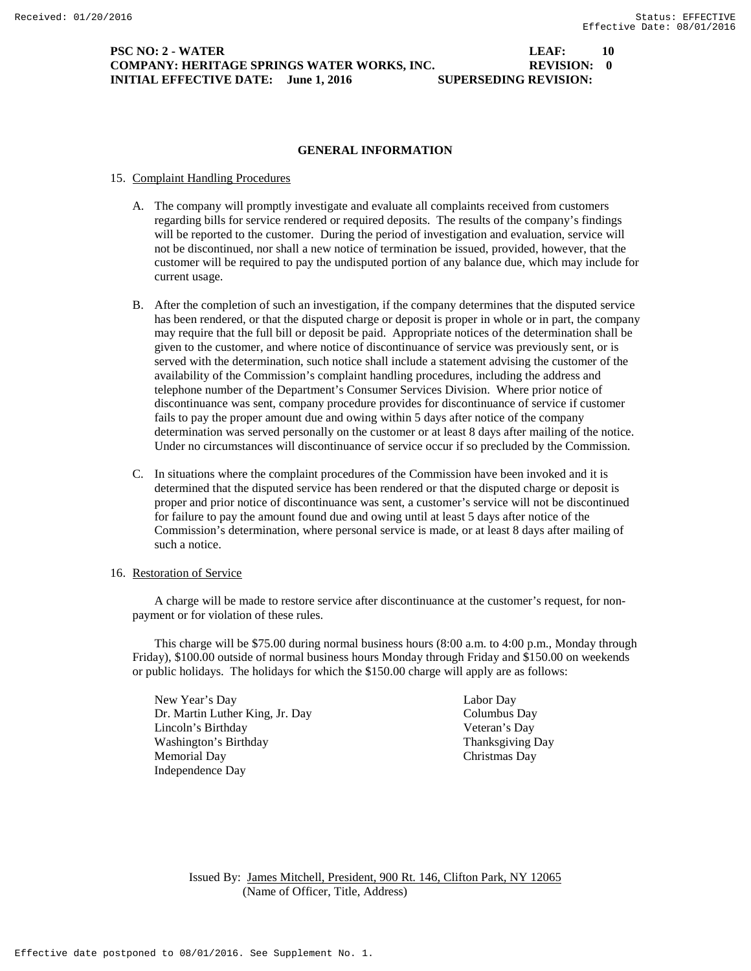## **PSC NO: 2 - WATER LEAF:** 10 **COMPANY: HERITAGE SPRINGS WATER WORKS, INC. REVISION: 0 INITIAL EFFECTIVE DATE:** June 1, 2016 SUPERSEDING REVISION:

#### **GENERAL INFORMATION**

#### 15. Complaint Handling Procedures

- A. The company will promptly investigate and evaluate all complaints received from customers regarding bills for service rendered or required deposits. The results of the company's findings will be reported to the customer. During the period of investigation and evaluation, service will not be discontinued, nor shall a new notice of termination be issued, provided, however, that the customer will be required to pay the undisputed portion of any balance due, which may include for current usage.
- B. After the completion of such an investigation, if the company determines that the disputed service has been rendered, or that the disputed charge or deposit is proper in whole or in part, the company may require that the full bill or deposit be paid. Appropriate notices of the determination shall be given to the customer, and where notice of discontinuance of service was previously sent, or is served with the determination, such notice shall include a statement advising the customer of the availability of the Commission's complaint handling procedures, including the address and telephone number of the Department's Consumer Services Division. Where prior notice of discontinuance was sent, company procedure provides for discontinuance of service if customer fails to pay the proper amount due and owing within 5 days after notice of the company determination was served personally on the customer or at least 8 days after mailing of the notice. Under no circumstances will discontinuance of service occur if so precluded by the Commission.
- C. In situations where the complaint procedures of the Commission have been invoked and it is determined that the disputed service has been rendered or that the disputed charge or deposit is proper and prior notice of discontinuance was sent, a customer's service will not be discontinued for failure to pay the amount found due and owing until at least 5 days after notice of the Commission's determination, where personal service is made, or at least 8 days after mailing of such a notice.

#### 16. Restoration of Service

A charge will be made to restore service after discontinuance at the customer's request, for nonpayment or for violation of these rules.

This charge will be \$75.00 during normal business hours (8:00 a.m. to 4:00 p.m., Monday through Friday), \$100.00 outside of normal business hours Monday through Friday and \$150.00 on weekends or public holidays. The holidays for which the \$150.00 charge will apply are as follows:

New Year's Day Labor Day Dr. Martin Luther King, Jr. Day Columbus Day Lincoln's Birthday Veteran's Day Washington's Birthday Thanksgiving Day Memorial Day Christmas Day Independence Day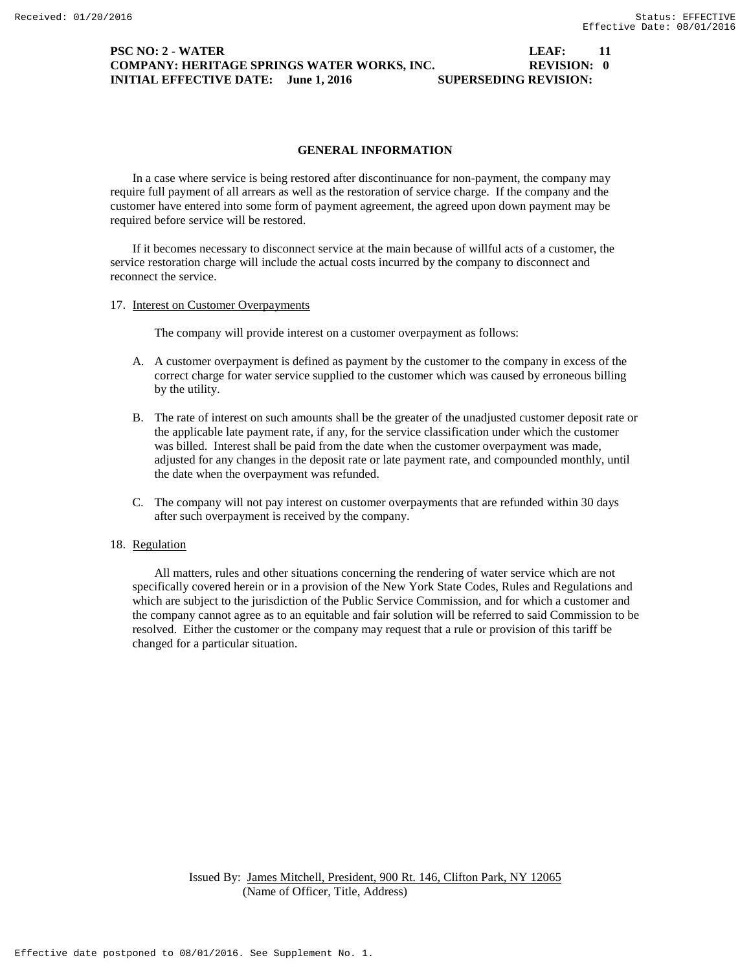# **PSC NO: 2 - WATER LEAF:** 11 **COMPANY: HERITAGE SPRINGS WATER WORKS, INC. REVISION: 0 INITIAL EFFECTIVE DATE:** June 1, 2016 SUPERSEDING REVISION:

### **GENERAL INFORMATION**

In a case where service is being restored after discontinuance for non-payment, the company may require full payment of all arrears as well as the restoration of service charge. If the company and the customer have entered into some form of payment agreement, the agreed upon down payment may be required before service will be restored.

If it becomes necessary to disconnect service at the main because of willful acts of a customer, the service restoration charge will include the actual costs incurred by the company to disconnect and reconnect the service.

17. Interest on Customer Overpayments

The company will provide interest on a customer overpayment as follows:

- A. A customer overpayment is defined as payment by the customer to the company in excess of the correct charge for water service supplied to the customer which was caused by erroneous billing by the utility.
- B. The rate of interest on such amounts shall be the greater of the unadjusted customer deposit rate or the applicable late payment rate, if any, for the service classification under which the customer was billed. Interest shall be paid from the date when the customer overpayment was made, adjusted for any changes in the deposit rate or late payment rate, and compounded monthly, until the date when the overpayment was refunded.
- C. The company will not pay interest on customer overpayments that are refunded within 30 days after such overpayment is received by the company.

# 18. Regulation

All matters, rules and other situations concerning the rendering of water service which are not specifically covered herein or in a provision of the New York State Codes, Rules and Regulations and which are subject to the jurisdiction of the Public Service Commission, and for which a customer and the company cannot agree as to an equitable and fair solution will be referred to said Commission to be resolved. Either the customer or the company may request that a rule or provision of this tariff be changed for a particular situation.